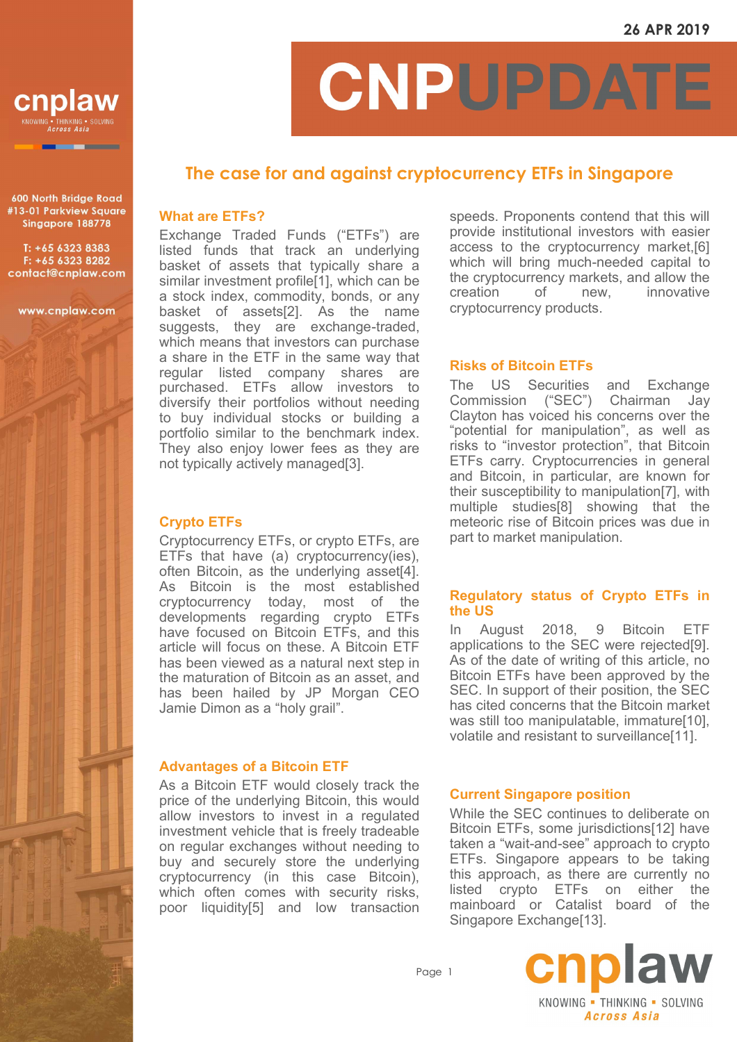

600 North Bridge Road #13-01 Parkview Square Singapore 188778

T: +65 6323 8383 F: +65 6323 8282 contact@cnplaw.com

www.cnplaw.com

# CNPUPDATI

# **The case for and against cryptocurrency ETFs in Singapore**

#### **What are ETFs?**

Exchange Traded Funds ("ETFs") are listed funds that track an underlying basket of assets that typically share a similar investment profile[1], which can be a stock index, commodity, bonds, or any basket of assets[2]. As the name suggests, they are exchange-traded, which means that investors can purchase a share in the ETF in the same way that regular listed company shares are purchased. ETFs allow investors to diversify their portfolios without needing to buy individual stocks or building a portfolio similar to the benchmark index. They also enjoy lower fees as they are not typically actively managed[3].

#### **Crypto ETFs**

Cryptocurrency ETFs, or crypto ETFs, are ETFs that have (a) cryptocurrency(ies), often Bitcoin, as the underlying asset[4]. As Bitcoin is the most established cryptocurrency today, most of the developments regarding crypto ETFs have focused on Bitcoin ETFs, and this article will focus on these. A Bitcoin ETF has been viewed as a natural next step in the maturation of Bitcoin as an asset, and has been hailed by JP Morgan CEO Jamie Dimon as a "holy grail".

#### **Advantages of a Bitcoin ETF**

As a Bitcoin ETF would closely track the price of the underlying Bitcoin, this would allow investors to invest in a regulated investment vehicle that is freely tradeable on regular exchanges without needing to buy and securely store the underlying cryptocurrency (in this case Bitcoin), which often comes with security risks, poor liquidity[5] and low transaction speeds. Proponents contend that this will provide institutional investors with easier access to the cryptocurrency market,[6] which will bring much-needed capital to the cryptocurrency markets, and allow the creation of new, innovative cryptocurrency products.

## **Risks of Bitcoin ETFs**

The US Securities and Exchange Commission ("SEC") Chairman Jay Clayton has voiced his concerns over the "potential for manipulation", as well as risks to "investor protection", that Bitcoin ETFs carry. Cryptocurrencies in general and Bitcoin, in particular, are known for their susceptibility to manipulation[7], with multiple studies[8] showing that the meteoric rise of Bitcoin prices was due in part to market manipulation.

#### **Regulatory status of Crypto ETFs in the US**

In August 2018, 9 Bitcoin ETF applications to the SEC were rejected[9]. As of the date of writing of this article, no Bitcoin ETFs have been approved by the SEC. In support of their position, the SEC has cited concerns that the Bitcoin market was still too manipulatable, immature[10], volatile and resistant to surveillance[11].

### **Current Singapore position**

While the SEC continues to deliberate on Bitcoin ETFs, some jurisdictions[12] have taken a "wait-and-see" approach to crypto ETFs. Singapore appears to be taking this approach, as there are currently no listed crypto ETFs on either the mainboard or Catalist board of the Singapore Exchange[13].

Page 1